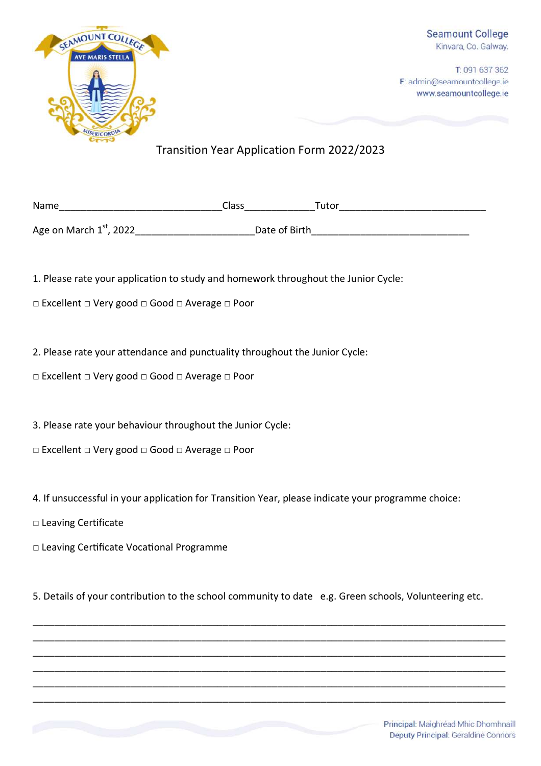

T: 091 637 362 E: admin@seamountcollege.ie www.seamountcollege.ie

## Transition Year Application Form 2022/2023

| Name                      | Class         | Tutor |  |
|---------------------------|---------------|-------|--|
| Age on March $1st$ , 2022 | Date of Birth |       |  |

1. Please rate your application to study and homework throughout the Junior Cycle:

□ Excellent □ Very good □ Good □ Average □ Poor

2. Please rate your attendance and punctuality throughout the Junior Cycle:

□ Excellent □ Very good □ Good □ Average □ Poor

3. Please rate your behaviour throughout the Junior Cycle:

□ Excellent □ Very good □ Good □ Average □ Poor

4. If unsuccessful in your application for Transition Year, please indicate your programme choice:

□ Leaving Certificate

□ Leaving Certificate Vocational Programme

5. Details of your contribution to the school community to date e.g. Green schools, Volunteering etc.

\_\_\_\_\_\_\_\_\_\_\_\_\_\_\_\_\_\_\_\_\_\_\_\_\_\_\_\_\_\_\_\_\_\_\_\_\_\_\_\_\_\_\_\_\_\_\_\_\_\_\_\_\_\_\_\_\_\_\_\_\_\_\_\_\_\_\_\_\_\_\_\_\_\_\_\_\_\_\_\_\_\_\_\_\_\_\_ \_\_\_\_\_\_\_\_\_\_\_\_\_\_\_\_\_\_\_\_\_\_\_\_\_\_\_\_\_\_\_\_\_\_\_\_\_\_\_\_\_\_\_\_\_\_\_\_\_\_\_\_\_\_\_\_\_\_\_\_\_\_\_\_\_\_\_\_\_\_\_\_\_\_\_\_\_\_\_\_\_\_\_\_\_\_\_ \_\_\_\_\_\_\_\_\_\_\_\_\_\_\_\_\_\_\_\_\_\_\_\_\_\_\_\_\_\_\_\_\_\_\_\_\_\_\_\_\_\_\_\_\_\_\_\_\_\_\_\_\_\_\_\_\_\_\_\_\_\_\_\_\_\_\_\_\_\_\_\_\_\_\_\_\_\_\_\_\_\_\_\_\_\_\_ \_\_\_\_\_\_\_\_\_\_\_\_\_\_\_\_\_\_\_\_\_\_\_\_\_\_\_\_\_\_\_\_\_\_\_\_\_\_\_\_\_\_\_\_\_\_\_\_\_\_\_\_\_\_\_\_\_\_\_\_\_\_\_\_\_\_\_\_\_\_\_\_\_\_\_\_\_\_\_\_\_\_\_\_\_\_\_ \_\_\_\_\_\_\_\_\_\_\_\_\_\_\_\_\_\_\_\_\_\_\_\_\_\_\_\_\_\_\_\_\_\_\_\_\_\_\_\_\_\_\_\_\_\_\_\_\_\_\_\_\_\_\_\_\_\_\_\_\_\_\_\_\_\_\_\_\_\_\_\_\_\_\_\_\_\_\_\_\_\_\_\_\_\_\_ \_\_\_\_\_\_\_\_\_\_\_\_\_\_\_\_\_\_\_\_\_\_\_\_\_\_\_\_\_\_\_\_\_\_\_\_\_\_\_\_\_\_\_\_\_\_\_\_\_\_\_\_\_\_\_\_\_\_\_\_\_\_\_\_\_\_\_\_\_\_\_\_\_\_\_\_\_\_\_\_\_\_\_\_\_\_\_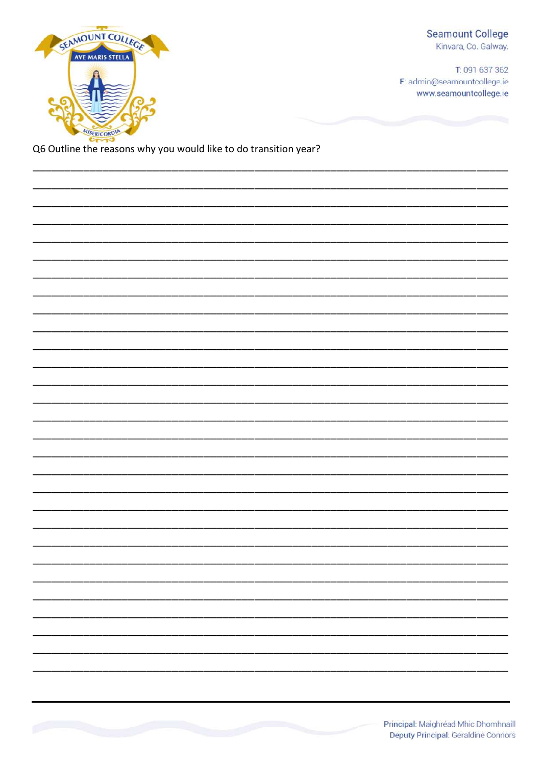## **Seamount College** Kinvara, Co. Galway.

T: 091 637 362 E: admin@seamountcollege.ie www.seamountcollege.ie



Q6 Outline the reasons why you would like to do transition year?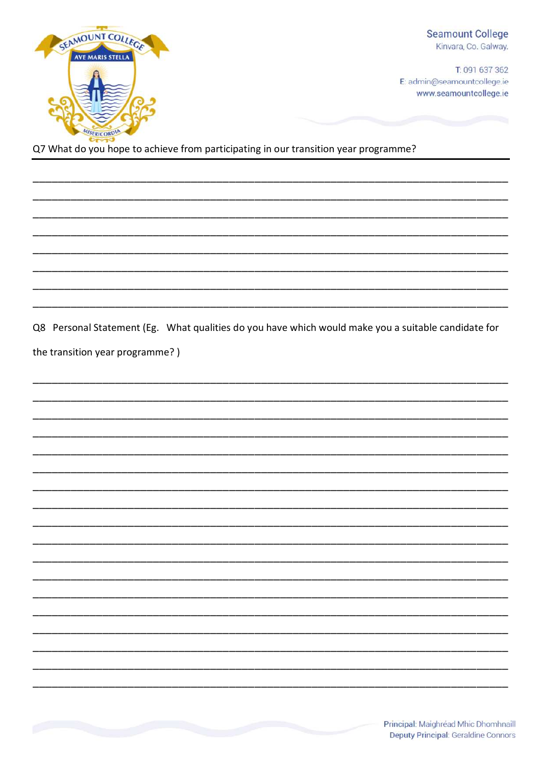

**Seamount College** Kinvara, Co. Galway.

T: 091 637 362 E: admin@seamountcollege.ie www.seamountcollege.ie

Q7 What do you hope to achieve from participating in our transition year programme?

Q8 Personal Statement (Eg. What qualities do you have which would make you a suitable candidate for the transition year programme?)